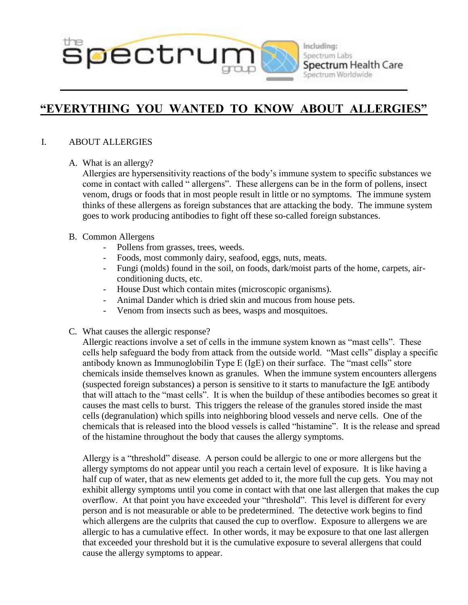

#### Including: Spectrum Labs Spectrum Health Care Spectrum Worldwide

# **"EVERYTHING YOU WANTED TO KNOW ABOUT ALLERGIES"**

# I. ABOUT ALLERGIES

A. What is an allergy?

Allergies are hypersensitivity reactions of the body's immune system to specific substances we come in contact with called " allergens". These allergens can be in the form of pollens, insect venom, drugs or foods that in most people result in little or no symptoms. The immune system thinks of these allergens as foreign substances that are attacking the body. The immune system goes to work producing antibodies to fight off these so-called foreign substances.

## B. Common Allergens

- Pollens from grasses, trees, weeds.
- Foods, most commonly dairy, seafood, eggs, nuts, meats.
- Fungi (molds) found in the soil, on foods, dark/moist parts of the home, carpets, airconditioning ducts, etc.
- House Dust which contain mites (microscopic organisms).
- Animal Dander which is dried skin and mucous from house pets.
- Venom from insects such as bees, wasps and mosquitoes.
- C. What causes the allergic response?

Allergic reactions involve a set of cells in the immune system known as "mast cells". These cells help safeguard the body from attack from the outside world. "Mast cells" display a specific antibody known as Immunoglobilin Type E (IgE) on their surface. The "mast cells" store chemicals inside themselves known as granules. When the immune system encounters allergens (suspected foreign substances) a person is sensitive to it starts to manufacture the IgE antibody that will attach to the "mast cells". It is when the buildup of these antibodies becomes so great it causes the mast cells to burst. This triggers the release of the granules stored inside the mast cells (degranulation) which spills into neighboring blood vessels and nerve cells. One of the chemicals that is released into the blood vessels is called "histamine". It is the release and spread of the histamine throughout the body that causes the allergy symptoms.

Allergy is a "threshold" disease. A person could be allergic to one or more allergens but the allergy symptoms do not appear until you reach a certain level of exposure. It is like having a half cup of water, that as new elements get added to it, the more full the cup gets. You may not exhibit allergy symptoms until you come in contact with that one last allergen that makes the cup overflow. At that point you have exceeded your "threshold". This level is different for every person and is not measurable or able to be predetermined. The detective work begins to find which allergens are the culprits that caused the cup to overflow. Exposure to allergens we are allergic to has a cumulative effect. In other words, it may be exposure to that one last allergen that exceeded your threshold but it is the cumulative exposure to several allergens that could cause the allergy symptoms to appear.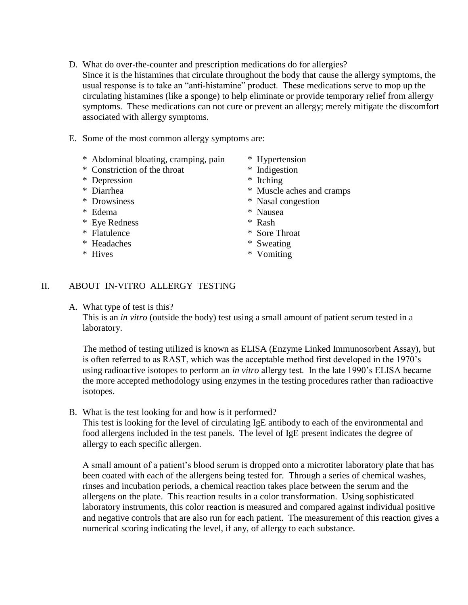- D. What do over-the-counter and prescription medications do for allergies? Since it is the histamines that circulate throughout the body that cause the allergy symptoms, the usual response is to take an "anti-histamine" product. These medications serve to mop up the circulating histamines (like a sponge) to help eliminate or provide temporary relief from allergy symptoms. These medications can not cure or prevent an allergy; merely mitigate the discomfort associated with allergy symptoms.
- E. Some of the most common allergy symptoms are:
	- \* Abdominal bloating, cramping, pain \* Hypertension
	- \* Constriction of the throat \* Indigestion
	- \* Depression \* Itching
	-
	-
	- \* Edema \* Nausea
	- \* Eye Redness \* Rash
	-
	- \* Headaches \* Sweating
	-
- 
- 
- 
- \* Diarrhea \* Muscle aches and cramps
- \* Drowsiness \* Nasal congestion
	-
	-
- \* Flatulence \* Sore Throat
	-
- \* Hives  $*$  Vomiting

### II. ABOUT IN-VITRO ALLERGY TESTING

A. What type of test is this?

This is an *in vitro* (outside the body) test using a small amount of patient serum tested in a laboratory.

The method of testing utilized is known as ELISA (Enzyme Linked Immunosorbent Assay), but is often referred to as RAST, which was the acceptable method first developed in the 1970's using radioactive isotopes to perform an *in vitro* allergy test. In the late 1990's ELISA became the more accepted methodology using enzymes in the testing procedures rather than radioactive isotopes.

B. What is the test looking for and how is it performed?

This test is looking for the level of circulating IgE antibody to each of the environmental and food allergens included in the test panels. The level of IgE present indicates the degree of allergy to each specific allergen.

A small amount of a patient's blood serum is dropped onto a microtiter laboratory plate that has been coated with each of the allergens being tested for. Through a series of chemical washes, rinses and incubation periods, a chemical reaction takes place between the serum and the allergens on the plate. This reaction results in a color transformation. Using sophisticated laboratory instruments, this color reaction is measured and compared against individual positive and negative controls that are also run for each patient. The measurement of this reaction gives a numerical scoring indicating the level, if any, of allergy to each substance.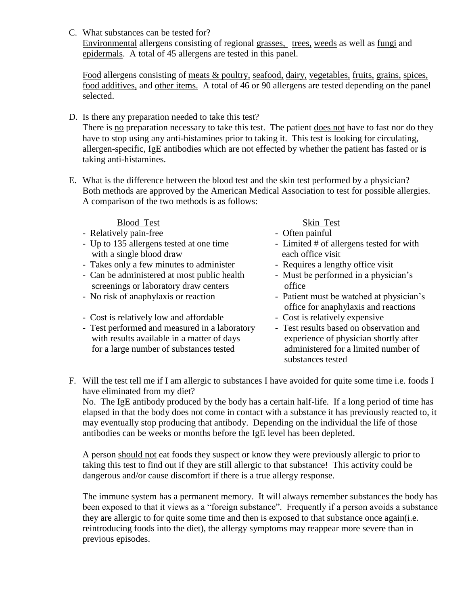C. What substances can be tested for?

Environmental allergens consisting of regional grasses, trees, weeds as well as fungi and epidermals. A total of 45 allergens are tested in this panel.

Food allergens consisting of meats & poultry, seafood, dairy, vegetables, fruits, grains, spices, food additives, and other items. A total of 46 or 90 allergens are tested depending on the panel selected.

- D. Is there any preparation needed to take this test? There is <u>no</u> preparation necessary to take this test. The patient <u>does not</u> have to fast nor do they have to stop using any anti-histamines prior to taking it. This test is looking for circulating, allergen-specific, IgE antibodies which are not effected by whether the patient has fasted or is taking anti-histamines.
- E. What is the difference between the blood test and the skin test performed by a physician? Both methods are approved by the American Medical Association to test for possible allergies. A comparison of the two methods is as follows:

### Blood Test Skin Test

- Relatively pain-free  $\overline{\phantom{a}}$  Often painful
- Up to 135 allergens tested at one time Limited # of allergens tested for with with a single blood draw each office visit
- Takes only a few minutes to administer Requires a lengthy office visit
- Can be administered at most public health Must be performed in a physician's screenings or laboratory draw centers office
- 
- Cost is relatively low and affordable Cost is relatively expensive
- Test performed and measured in a laboratory Test results based on observation and with results available in a matter of days experience of physician shortly after for a large number of substances tested administered for a limited number of

- 
- 
- 
- 
- No risk of anaphylaxis or reaction Patient must be watched at physician's office for anaphylaxis and reactions
	-
	- substances tested
- F. Will the test tell me if I am allergic to substances I have avoided for quite some time i.e. foods I have eliminated from my diet?

No. The IgE antibody produced by the body has a certain half-life. If a long period of time has elapsed in that the body does not come in contact with a substance it has previously reacted to, it may eventually stop producing that antibody. Depending on the individual the life of those antibodies can be weeks or months before the IgE level has been depleted.

A person should not eat foods they suspect or know they were previously allergic to prior to taking this test to find out if they are still allergic to that substance! This activity could be dangerous and/or cause discomfort if there is a true allergy response.

The immune system has a permanent memory. It will always remember substances the body has been exposed to that it views as a "foreign substance". Frequently if a person avoids a substance they are allergic to for quite some time and then is exposed to that substance once again(i.e. reintroducing foods into the diet), the allergy symptoms may reappear more severe than in previous episodes.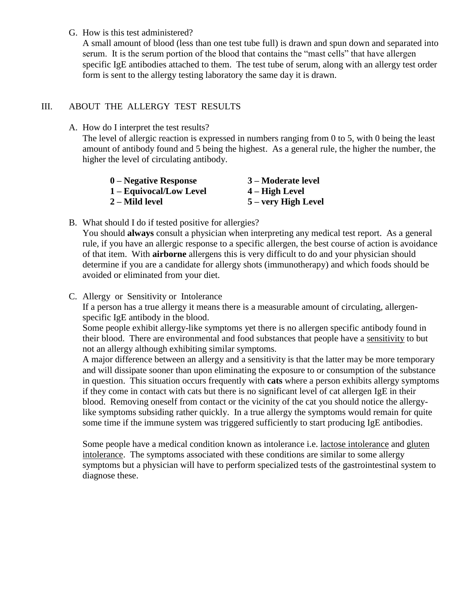#### G. How is this test administered?

A small amount of blood (less than one test tube full) is drawn and spun down and separated into serum. It is the serum portion of the blood that contains the "mast cells" that have allergen specific IgE antibodies attached to them. The test tube of serum, along with an allergy test order form is sent to the allergy testing laboratory the same day it is drawn.

# III. ABOUT THE ALLERGY TEST RESULTS

A. How do I interpret the test results?

The level of allergic reaction is expressed in numbers ranging from 0 to 5, with 0 being the least amount of antibody found and 5 being the highest. As a general rule, the higher the number, the higher the level of circulating antibody.

| $0$ – Negative Response | 3 – Moderate level  |
|-------------------------|---------------------|
| 1 – Equivocal/Low Level | $4 - High Level$    |
| 2 – Mild level          | 5 – very High Level |

B. What should I do if tested positive for allergies?

You should **always** consult a physician when interpreting any medical test report. As a general rule, if you have an allergic response to a specific allergen, the best course of action is avoidance of that item. With **airborne** allergens this is very difficult to do and your physician should determine if you are a candidate for allergy shots (immunotherapy) and which foods should be avoided or eliminated from your diet.

C. Allergy or Sensitivity or Intolerance

If a person has a true allergy it means there is a measurable amount of circulating, allergenspecific IgE antibody in the blood.

Some people exhibit allergy-like symptoms yet there is no allergen specific antibody found in their blood. There are environmental and food substances that people have a sensitivity to but not an allergy although exhibiting similar symptoms.

A major difference between an allergy and a sensitivity is that the latter may be more temporary and will dissipate sooner than upon eliminating the exposure to or consumption of the substance in question. This situation occurs frequently with **cats** where a person exhibits allergy symptoms if they come in contact with cats but there is no significant level of cat allergen IgE in their blood. Removing oneself from contact or the vicinity of the cat you should notice the allergylike symptoms subsiding rather quickly. In a true allergy the symptoms would remain for quite some time if the immune system was triggered sufficiently to start producing IgE antibodies.

Some people have a medical condition known as intolerance i.e. lactose intolerance and gluten intolerance. The symptoms associated with these conditions are similar to some allergy symptoms but a physician will have to perform specialized tests of the gastrointestinal system to diagnose these.